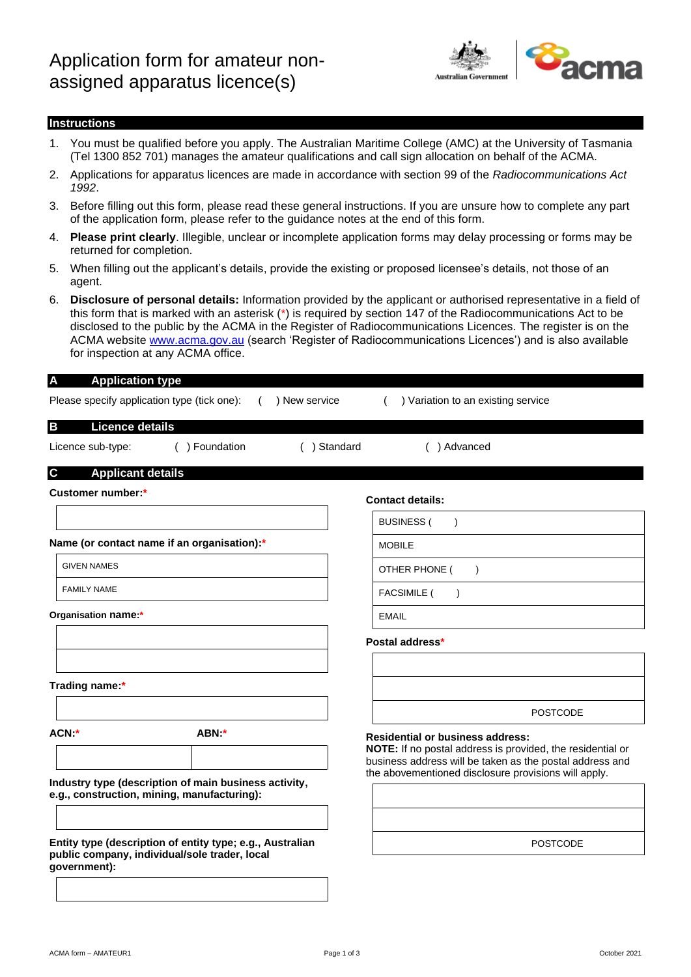

## **Instructions**

- 1. You must be qualified before you apply. The Australian Maritime College (AMC) at the University of Tasmania (Tel 1300 852 701) manages the amateur qualifications and call sign allocation on behalf of the ACMA.
- 2. Applications for apparatus licences are made in accordance with section 99 of the *Radiocommunications Act 1992*.
- 3. Before filling out this form, please read these general instructions. If you are unsure how to complete any part of the application form, please refer to the guidance notes at the end of this form.
- 4. **Please print clearly**. Illegible, unclear or incomplete application forms may delay processing or forms may be returned for completion.
- 5. When filling out the applicant's details, provide the existing or proposed licensee's details, not those of an agent.
- 6. **Disclosure of personal details:** Information provided by the applicant or authorised representative in a field of this form that is marked with an asterisk (\*) is required by section 147 of the Radiocommunications Act to be disclosed to the public by the ACMA in the Register of Radiocommunications Licences. The register is on the ACMA website [www.acma.gov.au](http://www.acma.gov.au/) (search 'Register of Radiocommunications Licences') and is also available for inspection at any ACMA office.

### **A Application type**

Please specify application type (tick one): ( ) New service ( ) Variation to an existing service

## **B Licence details**

Licence sub-type: ( ) Foundation ( ) Standard ( ) Advanced

## **C Applicant details**

| <b>Customer number:*</b>                                                                                                   |                                                                                                      | <b>Contact details:</b>                                                                                                                                                                                                          |
|----------------------------------------------------------------------------------------------------------------------------|------------------------------------------------------------------------------------------------------|----------------------------------------------------------------------------------------------------------------------------------------------------------------------------------------------------------------------------------|
|                                                                                                                            |                                                                                                      | <b>BUSINESS (</b>                                                                                                                                                                                                                |
| Name (or contact name if an organisation):*                                                                                |                                                                                                      | <b>MOBILE</b>                                                                                                                                                                                                                    |
| <b>GIVEN NAMES</b>                                                                                                         |                                                                                                      | OTHER PHONE (                                                                                                                                                                                                                    |
| <b>FAMILY NAME</b>                                                                                                         |                                                                                                      | <b>FACSIMILE (</b>                                                                                                                                                                                                               |
| Organisation name:*                                                                                                        |                                                                                                      | <b>EMAIL</b>                                                                                                                                                                                                                     |
|                                                                                                                            |                                                                                                      | Postal address*                                                                                                                                                                                                                  |
| Trading name:*                                                                                                             |                                                                                                      |                                                                                                                                                                                                                                  |
|                                                                                                                            |                                                                                                      | <b>POSTCODE</b>                                                                                                                                                                                                                  |
| ACN:*                                                                                                                      | ABN:*                                                                                                | <b>Residential or business address:</b><br><b>NOTE:</b> If no postal address is provided, the residential or<br>business address will be taken as the postal address and<br>the abovementioned disclosure provisions will apply. |
|                                                                                                                            | Industry type (description of main business activity,<br>e.g., construction, mining, manufacturing): |                                                                                                                                                                                                                                  |
| Entity type (description of entity type; e.g., Australian<br>public company, individual/sole trader, local<br>qovernment): |                                                                                                      | <b>POSTCODE</b>                                                                                                                                                                                                                  |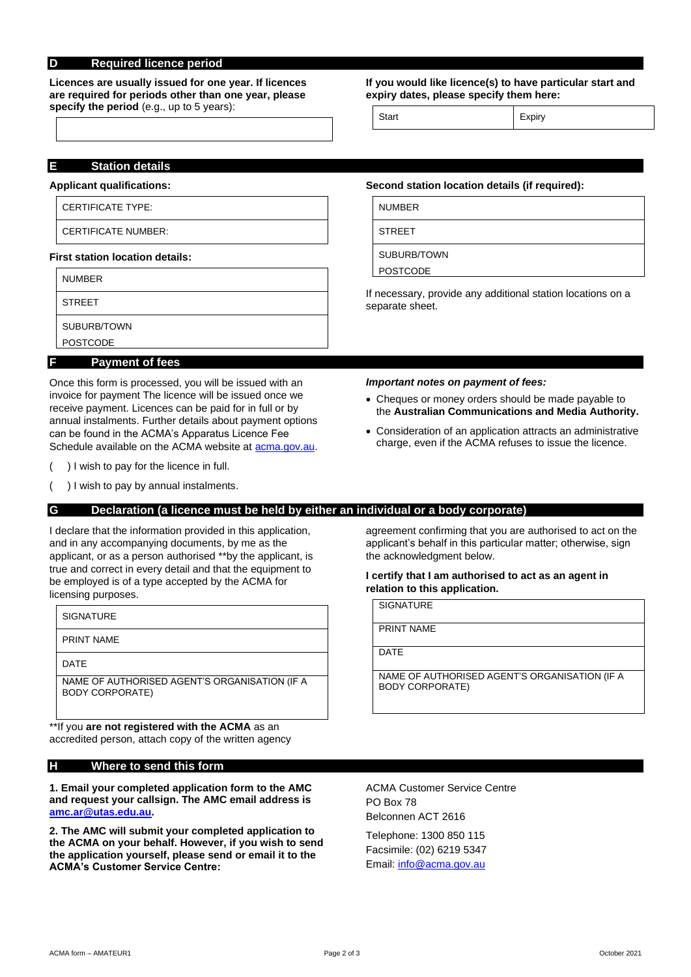## **D Required licence period**

**Licences are usually issued for one year. If licences are required for periods other than one year, please specify the period** (e.g., up to 5 years):

### **If you would like licence(s) to have particular start and expiry dates, please specify them here:**

Start Expiry

## **E Station details**

### **Applicant qualifications:**

### CERTIFICATE TYPE:

CERTIFICATE NUMBER:

### **First station location details:**

|   | <b>NUMBER</b>          |
|---|------------------------|
|   | <b>STREET</b>          |
|   | SUBURB/TOWN            |
|   | <b>POSTCODE</b>        |
| F | <b>Payment of fees</b> |

Once this form is processed, you will be issued with an invoice for payment The licence will be issued once we receive payment. Licences can be paid for in full or by annual instalments. Further details about payment options can be found in the ACMA's Apparatus Licence Fee Schedule available on the ACMA website a[t acma.gov.au.](http://acma.gov.au/)

( ) I wish to pay for the licence in full.

) I wish to pay by annual instalments.

# **G Declaration (a licence must be held by either an individual or a body corporate)**

I declare that the information provided in this application, and in any accompanying documents, by me as the applicant, or as a person authorised \*\*by the applicant, is true and correct in every detail and that the equipment to be employed is of a type accepted by the ACMA for licensing purposes.

| <b>SIGNATURE</b>                                                        |
|-------------------------------------------------------------------------|
| <b>PRINT NAME</b>                                                       |
| <b>DATF</b>                                                             |
| NAME OF AUTHORISED AGENT'S ORGANISATION (IF A<br><b>BODY CORPORATE)</b> |

\*\*If you **are not registered with the ACMA** as an accredited person, attach copy of the written agency

### **H Where to send this form**

### **1. Email your completed application form to the AMC and request your callsign. The AMC email address is [amc.ar@utas.edu.au.](mailto:amc.ar@utas.edu.au)**

**2. The AMC will submit your completed application to the ACMA on your behalf. However, if you wish to send the application yourself, please send or email it to the ACMA's Customer Service Centre:**

**Second station location details (if required):**

NUMBER

**STREET** 

SUBURB/TOWN

POSTCODE

If necessary, provide any additional station locations on a separate sheet.

### *Important notes on payment of fees:*

- Cheques or money orders should be made payable to the **Australian Communications and Media Authority.**
- Consideration of an application attracts an administrative charge, even if the ACMA refuses to issue the licence.

agreement confirming that you are authorised to act on the applicant's behalf in this particular matter; otherwise, sign the acknowledgment below.

### **I certify that I am authorised to act as an agent in relation to this application.**

**SIGNATURE** 

PRINT NAME

DATE

NAME OF AUTHORISED AGENT'S ORGANISATION (IF A BODY CORPORATE)

ACMA Customer Service Centre PO Box 78 Belconnen ACT 2616

Telephone: 1300 850 115 Facsimile: (02) 6219 5347 Email: [info@acma.gov.au](mailto:info@acma.gov.au)